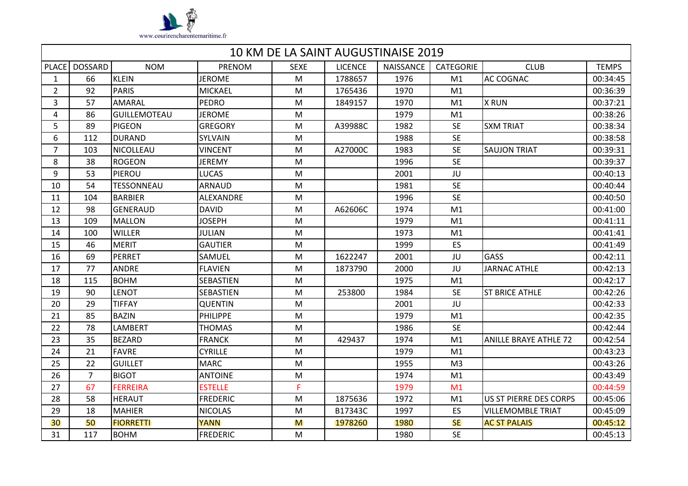

|                | 10 KM DE LA SAINT AUGUSTINAISE 2019 |                     |                 |             |                |                  |                  |                              |              |
|----------------|-------------------------------------|---------------------|-----------------|-------------|----------------|------------------|------------------|------------------------------|--------------|
|                | PLACE DOSSARD                       | <b>NOM</b>          | PRENOM          | <b>SEXE</b> | <b>LICENCE</b> | <b>NAISSANCE</b> | <b>CATEGORIE</b> | <b>CLUB</b>                  | <b>TEMPS</b> |
| $\mathbf{1}$   | 66                                  | <b>KLEIN</b>        | <b>JEROME</b>   | M           | 1788657        | 1976             | M1               | <b>AC COGNAC</b>             | 00:34:45     |
| $\overline{2}$ | 92                                  | <b>PARIS</b>        | <b>MICKAEL</b>  | M           | 1765436        | 1970             | M1               |                              | 00:36:39     |
| 3              | 57                                  | AMARAL              | <b>PEDRO</b>    | M           | 1849157        | 1970             | M1               | <b>X RUN</b>                 | 00:37:21     |
| 4              | 86                                  | <b>GUILLEMOTEAU</b> | <b>JEROME</b>   | M           |                | 1979             | M1               |                              | 00:38:26     |
| 5              | 89                                  | <b>PIGEON</b>       | <b>GREGORY</b>  | M           | A39988C        | 1982             | <b>SE</b>        | <b>SXM TRIAT</b>             | 00:38:34     |
| 6              | 112                                 | <b>DURAND</b>       | SYLVAIN         | M           |                | 1988             | <b>SE</b>        |                              | 00:38:58     |
| $\overline{7}$ | 103                                 | NICOLLEAU           | <b>VINCENT</b>  | M           | A27000C        | 1983             | <b>SE</b>        | <b>SAUJON TRIAT</b>          | 00:39:31     |
| 8              | 38                                  | <b>ROGEON</b>       | <b>JEREMY</b>   | M           |                | 1996             | <b>SE</b>        |                              | 00:39:37     |
| 9              | 53                                  | PIEROU              | <b>LUCAS</b>    | M           |                | 2001             | JU               |                              | 00:40:13     |
| 10             | 54                                  | <b>TESSONNEAU</b>   | <b>ARNAUD</b>   | M           |                | 1981             | <b>SE</b>        |                              | 00:40:44     |
| 11             | 104                                 | <b>BARBIER</b>      | ALEXANDRE       | M           |                | 1996             | <b>SE</b>        |                              | 00:40:50     |
| 12             | 98                                  | <b>GENERAUD</b>     | <b>DAVID</b>    | M           | A62606C        | 1974             | M1               |                              | 00:41:00     |
| 13             | 109                                 | <b>MALLON</b>       | <b>JOSEPH</b>   | M           |                | 1979             | M1               |                              | 00:41:11     |
| 14             | 100                                 | <b>WILLER</b>       | <b>JULIAN</b>   | M           |                | 1973             | M1               |                              | 00:41:41     |
| 15             | 46                                  | <b>MERIT</b>        | <b>GAUTIER</b>  | M           |                | 1999             | ES               |                              | 00:41:49     |
| 16             | 69                                  | PERRET              | SAMUEL          | M           | 1622247        | 2001             | JU               | <b>GASS</b>                  | 00:42:11     |
| 17             | 77                                  | <b>ANDRE</b>        | <b>FLAVIEN</b>  | M           | 1873790        | 2000             | JU               | <b>JARNAC ATHLE</b>          | 00:42:13     |
| 18             | 115                                 | <b>BOHM</b>         | SEBASTIEN       | M           |                | 1975             | M1               |                              | 00:42:17     |
| 19             | 90                                  | <b>LENOT</b>        | SEBASTIEN       | M           | 253800         | 1984             | <b>SE</b>        | <b>ST BRICE ATHLE</b>        | 00:42:26     |
| 20             | 29                                  | <b>TIFFAY</b>       | <b>QUENTIN</b>  | M           |                | 2001             | JU               |                              | 00:42:33     |
| 21             | 85                                  | <b>BAZIN</b>        | <b>PHILIPPE</b> | M           |                | 1979             | M1               |                              | 00:42:35     |
| 22             | 78                                  | LAMBERT             | <b>THOMAS</b>   | M           |                | 1986             | <b>SE</b>        |                              | 00:42:44     |
| 23             | 35                                  | <b>BEZARD</b>       | <b>FRANCK</b>   | M           | 429437         | 1974             | M1               | <b>ANILLE BRAYE ATHLE 72</b> | 00:42:54     |
| 24             | 21                                  | <b>FAVRE</b>        | <b>CYRILLE</b>  | M           |                | 1979             | M1               |                              | 00:43:23     |
| 25             | 22                                  | <b>GUILLET</b>      | <b>MARC</b>     | M           |                | 1955             | M <sub>3</sub>   |                              | 00:43:26     |
| 26             | $\overline{7}$                      | <b>BIGOT</b>        | <b>ANTOINE</b>  | M           |                | 1974             | M1               |                              | 00:43:49     |
| 27             | 67                                  | <b>FERREIRA</b>     | <b>ESTELLE</b>  | F           |                | 1979             | M <sub>1</sub>   |                              | 00:44:59     |
| 28             | 58                                  | <b>HERAUT</b>       | <b>FREDERIC</b> | M           | 1875636        | 1972             | M1               | US ST PIERRE DES CORPS       | 00:45:06     |
| 29             | 18                                  | <b>MAHIER</b>       | <b>NICOLAS</b>  | M           | B17343C        | 1997             | ES               | <b>VILLEMOMBLE TRIAT</b>     | 00:45:09     |
| 30             | 50                                  | <b>FIORRETTI</b>    | <b>YANN</b>     | M           | 1978260        | 1980             | <b>SE</b>        | <b>AC ST PALAIS</b>          | 00:45:12     |
| 31             | 117                                 | <b>BOHM</b>         | <b>FREDERIC</b> | M           |                | 1980             | <b>SE</b>        |                              | 00:45:13     |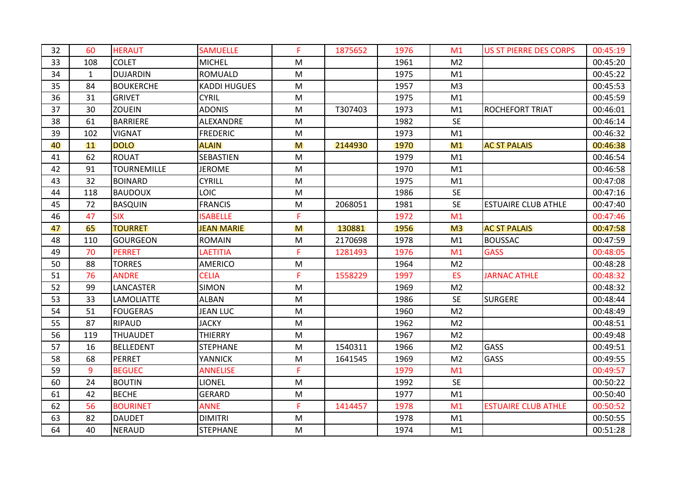| 32 | 60           | <b>HERAUT</b>      | <b>SAMUELLE</b>     | F         | 1875652 | 1976 | M <sub>1</sub> | <b>US ST PIERRE DES CORPS</b> | 00:45:19 |
|----|--------------|--------------------|---------------------|-----------|---------|------|----------------|-------------------------------|----------|
| 33 | 108          | <b>COLET</b>       | <b>MICHEL</b>       | M         |         | 1961 | M <sub>2</sub> |                               | 00:45:20 |
| 34 | $\mathbf{1}$ | <b>DUJARDIN</b>    | <b>ROMUALD</b>      | M         |         | 1975 | M1             |                               | 00:45:22 |
| 35 | 84           | <b>BOUKERCHE</b>   | <b>KADDI HUGUES</b> | M         |         | 1957 | M <sub>3</sub> |                               | 00:45:53 |
| 36 | 31           | <b>GRIVET</b>      | <b>CYRIL</b>        | M         |         | 1975 | M1             |                               | 00:45:59 |
| 37 | 30           | <b>ZOUEIN</b>      | <b>ADONIS</b>       | M         | T307403 | 1973 | M1             | <b>ROCHEFORT TRIAT</b>        | 00:46:01 |
| 38 | 61           | <b>BARRIERE</b>    | ALEXANDRE           | M         |         | 1982 | <b>SE</b>      |                               | 00:46:14 |
| 39 | 102          | <b>VIGNAT</b>      | <b>FREDERIC</b>     | M         |         | 1973 | M1             |                               | 00:46:32 |
| 40 | 11           | <b>DOLO</b>        | <b>ALAIN</b>        | M         | 2144930 | 1970 | M <sub>1</sub> | <b>AC ST PALAIS</b>           | 00:46:38 |
| 41 | 62           | <b>ROUAT</b>       | <b>SEBASTIEN</b>    | M         |         | 1979 | M1             |                               | 00:46:54 |
| 42 | 91           | <b>TOURNEMILLE</b> | <b>JEROME</b>       | ${\sf M}$ |         | 1970 | M1             |                               | 00:46:58 |
| 43 | 32           | <b>BOINARD</b>     | <b>CYRILL</b>       | M         |         | 1975 | M1             |                               | 00:47:08 |
| 44 | 118          | <b>BAUDOUX</b>     | <b>LOIC</b>         | M         |         | 1986 | <b>SE</b>      |                               | 00:47:16 |
| 45 | 72           | <b>BASQUIN</b>     | <b>FRANCIS</b>      | M         | 2068051 | 1981 | <b>SE</b>      | <b>ESTUAIRE CLUB ATHLE</b>    | 00:47:40 |
| 46 | 47           | <b>SIX</b>         | <b>ISABELLE</b>     | F         |         | 1972 | M <sub>1</sub> |                               | 00:47:46 |
| 47 | 65           | <b>TOURRET</b>     | <b>JEAN MARIE</b>   | M         | 130881  | 1956 | M <sub>3</sub> | <b>AC ST PALAIS</b>           | 00:47:58 |
| 48 | 110          | <b>GOURGEON</b>    | <b>ROMAIN</b>       | M         | 2170698 | 1978 | M1             | <b>BOUSSAC</b>                | 00:47:59 |
| 49 | 70           | <b>PERRET</b>      | LAETITIA            | F         | 1281493 | 1976 | M <sub>1</sub> | <b>GASS</b>                   | 00:48:05 |
| 50 | 88           | <b>TORRES</b>      | <b>AMERICO</b>      | M         |         | 1964 | M <sub>2</sub> |                               | 00:48:28 |
| 51 | 76           | <b>ANDRE</b>       | <b>CELIA</b>        | F.        | 1558229 | 1997 | <b>ES</b>      | <b>JARNAC ATHLE</b>           | 00:48:32 |
| 52 | 99           | LANCASTER          | <b>SIMON</b>        | M         |         | 1969 | M <sub>2</sub> |                               | 00:48:32 |
| 53 | 33           | <b>LAMOLIATTE</b>  | <b>ALBAN</b>        | M         |         | 1986 | <b>SE</b>      | <b>SURGERE</b>                | 00:48:44 |
| 54 | 51           | <b>FOUGERAS</b>    | <b>JEAN LUC</b>     | M         |         | 1960 | M <sub>2</sub> |                               | 00:48:49 |
| 55 | 87           | <b>RIPAUD</b>      | <b>JACKY</b>        | M         |         | 1962 | M <sub>2</sub> |                               | 00:48:51 |
| 56 | 119          | <b>THUAUDET</b>    | <b>THIERRY</b>      | M         |         | 1967 | M <sub>2</sub> |                               | 00:49:48 |
| 57 | 16           | <b>BELLEDENT</b>   | <b>STEPHANE</b>     | M         | 1540311 | 1966 | M <sub>2</sub> | GASS                          | 00:49:51 |
| 58 | 68           | <b>PERRET</b>      | <b>YANNICK</b>      | M         | 1641545 | 1969 | M <sub>2</sub> | GASS                          | 00:49:55 |
| 59 | 9            | <b>BEGUEC</b>      | <b>ANNELISE</b>     | F.        |         | 1979 | M <sub>1</sub> |                               | 00:49:57 |
| 60 | 24           | <b>BOUTIN</b>      | <b>LIONEL</b>       | M         |         | 1992 | <b>SE</b>      |                               | 00:50:22 |
| 61 | 42           | <b>BECHE</b>       | <b>GERARD</b>       | ${\sf M}$ |         | 1977 | M1             |                               | 00:50:40 |
| 62 | 56           | <b>BOURINET</b>    | <b>ANNE</b>         | F         | 1414457 | 1978 | M <sub>1</sub> | <b>ESTUAIRE CLUB ATHLE</b>    | 00:50:52 |
| 63 | 82           | <b>DAUDET</b>      | <b>DIMITRI</b>      | ${\sf M}$ |         | 1978 | M1             |                               | 00:50:55 |
| 64 | 40           | <b>NERAUD</b>      | <b>STEPHANE</b>     | M         |         | 1974 | M1             |                               | 00:51:28 |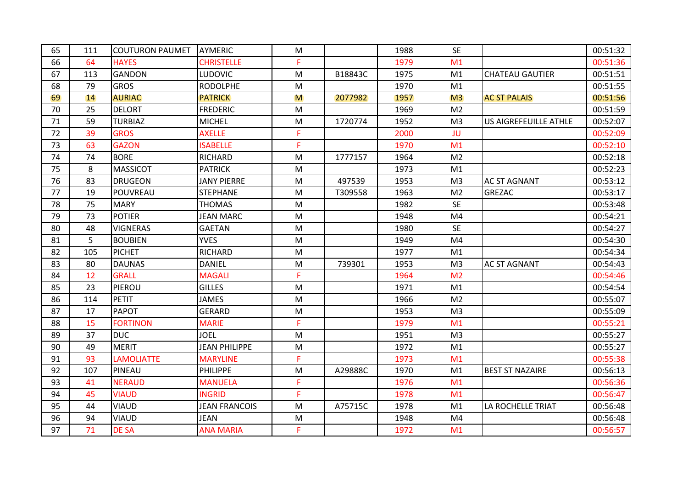| 65 | 111 | <b>COUTURON PAUMET</b> | AYMERIC              | M  |         | 1988 | <b>SE</b>      |                              | 00:51:32 |
|----|-----|------------------------|----------------------|----|---------|------|----------------|------------------------------|----------|
| 66 | 64  | <b>HAYES</b>           | <b>CHRISTELLE</b>    | F. |         | 1979 | M <sub>1</sub> |                              | 00:51:36 |
| 67 | 113 | <b>GANDON</b>          | <b>LUDOVIC</b>       | M  | B18843C | 1975 | M1             | <b>CHATEAU GAUTIER</b>       | 00:51:51 |
| 68 | 79  | <b>GROS</b>            | <b>RODOLPHE</b>      | M  |         | 1970 | M1             |                              | 00:51:55 |
| 69 | 14  | <b>AURIAC</b>          | <b>PATRICK</b>       | M  | 2077982 | 1957 | M <sub>3</sub> | <b>AC ST PALAIS</b>          | 00:51:56 |
| 70 | 25  | <b>DELORT</b>          | <b>FREDERIC</b>      | M  |         | 1969 | M <sub>2</sub> |                              | 00:51:59 |
| 71 | 59  | <b>TURBIAZ</b>         | <b>MICHEL</b>        | M  | 1720774 | 1952 | M <sub>3</sub> | <b>US AIGREFEUILLE ATHLE</b> | 00:52:07 |
| 72 | 39  | <b>GROS</b>            | <b>AXELLE</b>        | F  |         | 2000 | JU             |                              | 00:52:09 |
| 73 | 63  | <b>GAZON</b>           | <b>ISABELLE</b>      | F  |         | 1970 | M1             |                              | 00:52:10 |
| 74 | 74  | <b>BORE</b>            | <b>RICHARD</b>       | M  | 1777157 | 1964 | M <sub>2</sub> |                              | 00:52:18 |
| 75 | 8   | <b>MASSICOT</b>        | <b>PATRICK</b>       | M  |         | 1973 | M1             |                              | 00:52:23 |
| 76 | 83  | <b>DRUGEON</b>         | <b>JANY PIERRE</b>   | M  | 497539  | 1953 | M <sub>3</sub> | <b>AC ST AGNANT</b>          | 00:53:12 |
| 77 | 19  | POUVREAU               | <b>STEPHANE</b>      | M  | T309558 | 1963 | M <sub>2</sub> | <b>GREZAC</b>                | 00:53:17 |
| 78 | 75  | <b>MARY</b>            | <b>THOMAS</b>        | M  |         | 1982 | <b>SE</b>      |                              | 00:53:48 |
| 79 | 73  | <b>POTIER</b>          | <b>JEAN MARC</b>     | M  |         | 1948 | M4             |                              | 00:54:21 |
| 80 | 48  | <b>VIGNERAS</b>        | <b>GAETAN</b>        | M  |         | 1980 | <b>SE</b>      |                              | 00:54:27 |
| 81 | 5   | <b>BOUBIEN</b>         | <b>YVES</b>          | M  |         | 1949 | M4             |                              | 00:54:30 |
| 82 | 105 | <b>PICHET</b>          | <b>RICHARD</b>       | M  |         | 1977 | M1             |                              | 00:54:34 |
| 83 | 80  | <b>DAUNAS</b>          | <b>DANIEL</b>        | M  | 739301  | 1953 | M <sub>3</sub> | <b>AC ST AGNANT</b>          | 00:54:43 |
| 84 | 12  | <b>GRALL</b>           | <b>MAGALI</b>        | F  |         | 1964 | M <sub>2</sub> |                              | 00:54:46 |
| 85 | 23  | PIEROU                 | <b>GILLES</b>        | M  |         | 1971 | M1             |                              | 00:54:54 |
| 86 | 114 | <b>PETIT</b>           | <b>JAMES</b>         | M  |         | 1966 | M <sub>2</sub> |                              | 00:55:07 |
| 87 | 17  | <b>PAPOT</b>           | <b>GERARD</b>        | M  |         | 1953 | M <sub>3</sub> |                              | 00:55:09 |
| 88 | 15  | <b>FORTINON</b>        | <b>MARIE</b>         | F  |         | 1979 | M1             |                              | 00:55:21 |
| 89 | 37  | <b>DUC</b>             | <b>JOEL</b>          | M  |         | 1951 | M <sub>3</sub> |                              | 00:55:27 |
| 90 | 49  | <b>MERIT</b>           | <b>JEAN PHILIPPE</b> | M  |         | 1972 | M1             |                              | 00:55:27 |
| 91 | 93  | <b>LAMOLIATTE</b>      | <b>MARYLINE</b>      | F. |         | 1973 | M1             |                              | 00:55:38 |
| 92 | 107 | PINEAU                 | PHILIPPE             | M  | A29888C | 1970 | M1             | <b>BEST ST NAZAIRE</b>       | 00:56:13 |
| 93 | 41  | <b>NERAUD</b>          | <b>MANUELA</b>       | F  |         | 1976 | M1             |                              | 00:56:36 |
| 94 | 45  | <b>VIAUD</b>           | <b>INGRID</b>        | F. |         | 1978 | M1             |                              | 00:56:47 |
| 95 | 44  | <b>VIAUD</b>           | <b>JEAN FRANCOIS</b> | M  | A75715C | 1978 | M1             | LA ROCHELLE TRIAT            | 00:56:48 |
| 96 | 94  | <b>VIAUD</b>           | <b>JEAN</b>          | M  |         | 1948 | M4             |                              | 00:56:48 |
| 97 | 71  | <b>DE SA</b>           | <b>ANA MARIA</b>     | F  |         | 1972 | M1             |                              | 00:56:57 |